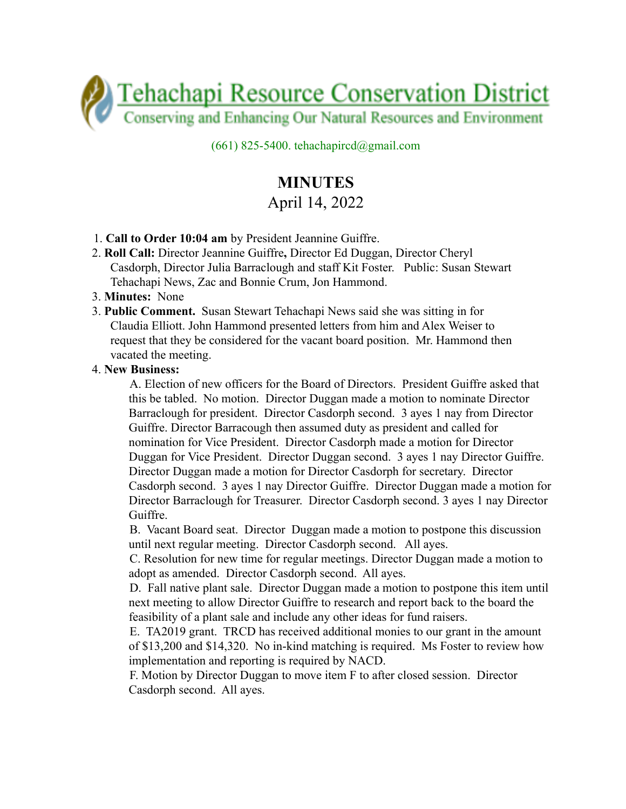

 $(661)$  825-5400. tehachapircd@gmail.com

## **MINUTES** April 14, 2022

- 1. **Call to Order 10:04 am** by President Jeannine Guiffre.
- 2. **Roll Call:** Director Jeannine Guiffre**,** Director Ed Duggan, Director Cheryl Casdorph, Director Julia Barraclough and staff Kit Foster. Public: Susan Stewart Tehachapi News, Zac and Bonnie Crum, Jon Hammond.
- 3. **Minutes:** None
- 3. **Public Comment.** Susan Stewart Tehachapi News said she was sitting in for Claudia Elliott. John Hammond presented letters from him and Alex Weiser to request that they be considered for the vacant board position. Mr. Hammond then vacated the meeting.

## 4. **New Business:**

A. Election of new officers for the Board of Directors. President Guiffre asked that this be tabled. No motion. Director Duggan made a motion to nominate Director Barraclough for president. Director Casdorph second. 3 ayes 1 nay from Director Guiffre. Director Barracough then assumed duty as president and called for nomination for Vice President. Director Casdorph made a motion for Director Duggan for Vice President. Director Duggan second. 3 ayes 1 nay Director Guiffre. Director Duggan made a motion for Director Casdorph for secretary. Director Casdorph second. 3 ayes 1 nay Director Guiffre. Director Duggan made a motion for Director Barraclough for Treasurer. Director Casdorph second. 3 ayes 1 nay Director Guiffre.

B. Vacant Board seat. Director Duggan made a motion to postpone this discussion until next regular meeting. Director Casdorph second. All ayes.

C. Resolution for new time for regular meetings. Director Duggan made a motion to adopt as amended. Director Casdorph second. All ayes.

D. Fall native plant sale. Director Duggan made a motion to postpone this item until next meeting to allow Director Guiffre to research and report back to the board the feasibility of a plant sale and include any other ideas for fund raisers.

E. TA2019 grant. TRCD has received additional monies to our grant in the amount of \$13,200 and \$14,320. No in-kind matching is required. Ms Foster to review how implementation and reporting is required by NACD.

F. Motion by Director Duggan to move item F to after closed session. Director Casdorph second. All ayes.